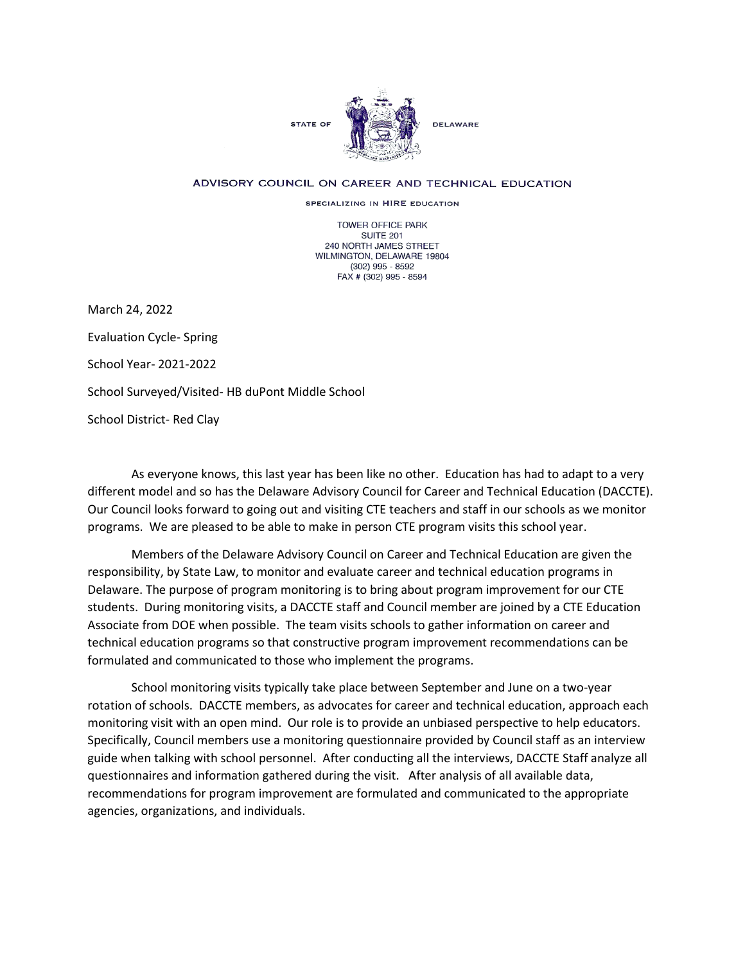

## ADVISORY COUNCIL ON CAREER AND TECHNICAL EDUCATION

SPECIALIZING IN HIRE EDUCATION

TOWER OFFICE PARK SUITE 201 240 NORTH JAMES STREET WILMINGTON, DELAWARE 19804 (302) 995 - 8592 FAX # (302) 995 - 8594

March 24, 2022 Evaluation Cycle- Spring School Year- 2021-2022 School Surveyed/Visited- HB duPont Middle School School District- Red Clay

As everyone knows, this last year has been like no other. Education has had to adapt to a very different model and so has the Delaware Advisory Council for Career and Technical Education (DACCTE). Our Council looks forward to going out and visiting CTE teachers and staff in our schools as we monitor programs. We are pleased to be able to make in person CTE program visits this school year.

Members of the Delaware Advisory Council on Career and Technical Education are given the responsibility, by State Law, to monitor and evaluate career and technical education programs in Delaware. The purpose of program monitoring is to bring about program improvement for our CTE students. During monitoring visits, a DACCTE staff and Council member are joined by a CTE Education Associate from DOE when possible. The team visits schools to gather information on career and technical education programs so that constructive program improvement recommendations can be formulated and communicated to those who implement the programs.

School monitoring visits typically take place between September and June on a two-year rotation of schools. DACCTE members, as advocates for career and technical education, approach each monitoring visit with an open mind. Our role is to provide an unbiased perspective to help educators. Specifically, Council members use a monitoring questionnaire provided by Council staff as an interview guide when talking with school personnel. After conducting all the interviews, DACCTE Staff analyze all questionnaires and information gathered during the visit. After analysis of all available data, recommendations for program improvement are formulated and communicated to the appropriate agencies, organizations, and individuals.